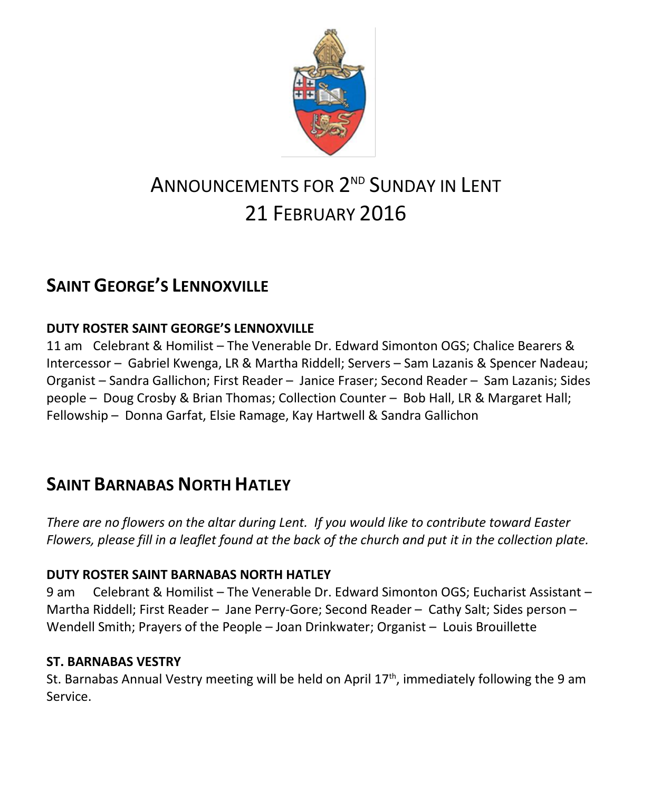

# ANNOUNCEMENTS FOR 2<sup>nd</sup> SUNDAY IN <mark>L</mark>ENT 21 FEBRUARY 2016

## **SAINT GEORGE'S LENNOXVILLE**

## **DUTY ROSTER SAINT GEORGE'S LENNOXVILLE**

11 am Celebrant & Homilist – The Venerable Dr. Edward Simonton OGS; Chalice Bearers & Intercessor – Gabriel Kwenga, LR & Martha Riddell; Servers – Sam Lazanis & Spencer Nadeau; Organist – Sandra Gallichon; First Reader – Janice Fraser; Second Reader – Sam Lazanis; Sides people – Doug Crosby & Brian Thomas; Collection Counter – Bob Hall, LR & Margaret Hall; Fellowship – Donna Garfat, Elsie Ramage, Kay Hartwell & Sandra Gallichon

## **SAINT BARNABAS NORTH HATLEY**

*There are no flowers on the altar during Lent. If you would like to contribute toward Easter Flowers, please fill in a leaflet found at the back of the church and put it in the collection plate.*

### **DUTY ROSTER SAINT BARNABAS NORTH HATLEY**

9 am Celebrant & Homilist – The Venerable Dr. Edward Simonton OGS; Eucharist Assistant – Martha Riddell; First Reader – Jane Perry-Gore; Second Reader – Cathy Salt; Sides person – Wendell Smith; Prayers of the People – Joan Drinkwater; Organist – Louis Brouillette

### **ST. BARNABAS VESTRY**

St. Barnabas Annual Vestry meeting will be held on April 17<sup>th</sup>, immediately following the 9 am Service.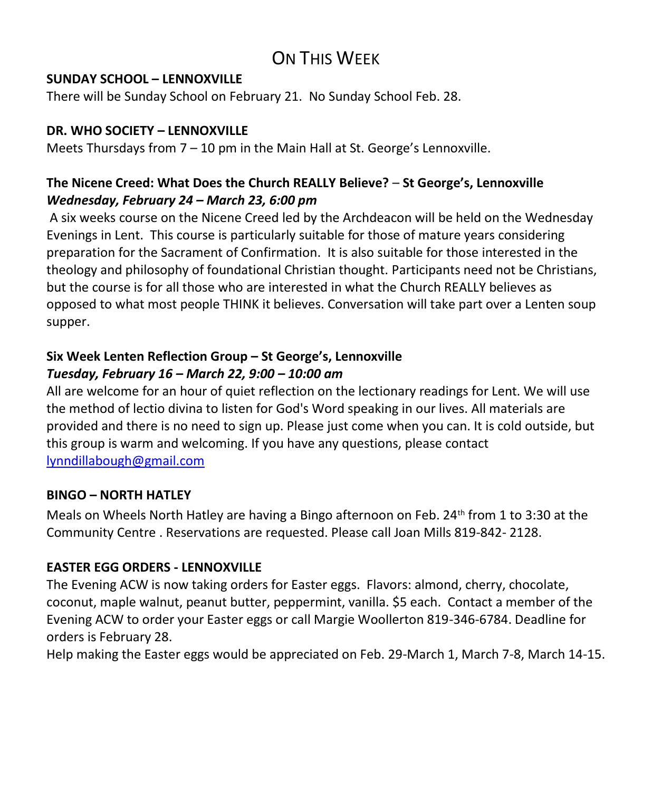## ON THIS WFFK

#### **SUNDAY SCHOOL – LENNOXVILLE**

There will be Sunday School on February 21. No Sunday School Feb. 28.

#### **DR. WHO SOCIETY – LENNOXVILLE**

Meets Thursdays from  $7 - 10$  pm in the Main Hall at St. George's Lennoxville.

### **The Nicene Creed: What Does the Church REALLY Believe?** – **St George's, Lennoxville** *Wednesday, February 24 – March 23, 6:00 pm*

A six weeks course on the Nicene Creed led by the Archdeacon will be held on the Wednesday Evenings in Lent. This course is particularly suitable for those of mature years considering preparation for the Sacrament of Confirmation. It is also suitable for those interested in the theology and philosophy of foundational Christian thought. Participants need not be Christians, but the course is for all those who are interested in what the Church REALLY believes as opposed to what most people THINK it believes. Conversation will take part over a Lenten soup supper.

### **Six Week Lenten Reflection Group – St George's, Lennoxville**  *Tuesday, February 16 – March 22, 9:00 – 10:00 am*

All are welcome for an hour of quiet reflection on the lectionary readings for Lent. We will use the method of lectio divina to listen for God's Word speaking in our lives. All materials are provided and there is no need to sign up. Please just come when you can. It is cold outside, but this group is warm and welcoming. If you have any questions, please contact [lynndillabough@gmail.com](https://webmail.ubishops.ca/owa/redir.aspx?SURL=gJAaQmXdJrAJmmsLIUsCBnpsgFgooUUINemiAuOcj2MA77Qn_yfTCG0AYQBpAGwAdABvADoAbAB5AG4AbgBkAGkAbABsAGEAYgBvAHUAZwBoAEAAZwBtAGEAaQBsAC4AYwBvAG0A&URL=mailto%3alynndillabough%40gmail.com) 

### **BINGO – NORTH HATLEY**

Meals on Wheels North Hatley are having a Bingo afternoon on Feb. 24th from 1 to 3:30 at the Community Centre . Reservations are requested. Please call Joan Mills 819-842- 2128.

### **EASTER EGG ORDERS - LENNOXVILLE**

The Evening ACW is now taking orders for Easter eggs. Flavors: almond, cherry, chocolate, coconut, maple walnut, peanut butter, peppermint, vanilla. \$5 each. Contact a member of the Evening ACW to order your Easter eggs or call Margie Woollerton 819-346-6784. Deadline for orders is February 28.

Help making the Easter eggs would be appreciated on Feb. 29-March 1, March 7-8, March 14-15.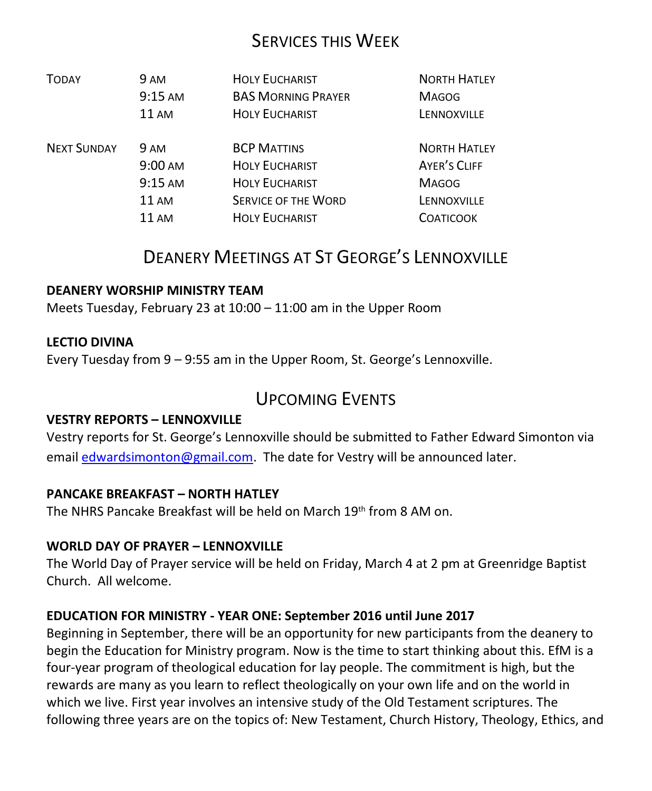## SERVICES THIS WEEK

| <b>TODAY</b>       | 9 AM              | <b>HOLY EUCHARIST</b>      | <b>NORTH HATLEY</b> |
|--------------------|-------------------|----------------------------|---------------------|
|                    | $9:15 \text{ AM}$ | <b>BAS MORNING PRAYER</b>  | <b>MAGOG</b>        |
|                    | <b>11 AM</b>      | <b>HOLY EUCHARIST</b>      | LENNOXVILLE         |
| <b>NEXT SUNDAY</b> | <b>9 AM</b>       | <b>BCP MATTINS</b>         | <b>NORTH HATLEY</b> |
|                    | 9:00 AM           | <b>HOLY EUCHARIST</b>      | <b>AYER'S CLIFF</b> |
|                    | $9:15 \text{ AM}$ | <b>HOLY EUCHARIST</b>      | <b>MAGOG</b>        |
|                    | 11AM              | <b>SERVICE OF THE WORD</b> | LENNOXVILLE         |
|                    | 11 AM             | <b>HOLY EUCHARIST</b>      | <b>COATICOOK</b>    |

## DEANERY MEETINGS AT ST GEORGE'S LENNOXVILLE

#### **DEANERY WORSHIP MINISTRY TEAM**

Meets Tuesday, February 23 at 10:00 – 11:00 am in the Upper Room

#### **LECTIO DIVINA**

Every Tuesday from 9 – 9:55 am in the Upper Room, St. George's Lennoxville.

## UPCOMING EVENTS

#### **VESTRY REPORTS – LENNOXVILLE**

Vestry reports for St. George's Lennoxville should be submitted to Father Edward Simonton via email [edwardsimonton@gmail.com.](mailto:edwardsimonton@gmail.com) The date for Vestry will be announced later.

#### **PANCAKE BREAKFAST – NORTH HATLEY**

The NHRS Pancake Breakfast will be held on March 19<sup>th</sup> from 8 AM on.

#### **WORLD DAY OF PRAYER – LENNOXVILLE**

The World Day of Prayer service will be held on Friday, March 4 at 2 pm at Greenridge Baptist Church. All welcome.

#### **EDUCATION FOR MINISTRY - YEAR ONE: September 2016 until June 2017**

Beginning in September, there will be an opportunity for new participants from the deanery to begin the Education for Ministry program. Now is the time to start thinking about this. EfM is a four-year program of theological education for lay people. The commitment is high, but the rewards are many as you learn to reflect theologically on your own life and on the world in which we live. First year involves an intensive study of the Old Testament scriptures. The following three years are on the topics of: New Testament, Church History, Theology, Ethics, and